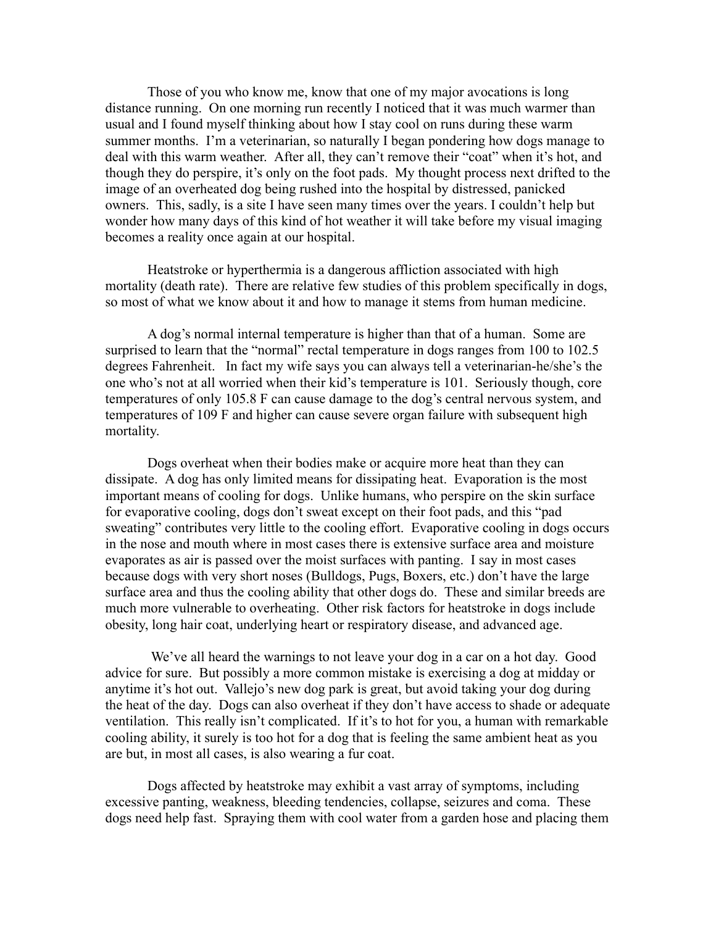Those of you who know me, know that one of my major avocations is long distance running. On one morning run recently I noticed that it was much warmer than usual and I found myself thinking about how I stay cool on runs during these warm summer months. I'm a veterinarian, so naturally I began pondering how dogs manage to deal with this warm weather. After all, they can't remove their "coat" when it's hot, and though they do perspire, it's only on the foot pads. My thought process next drifted to the image of an overheated dog being rushed into the hospital by distressed, panicked owners. This, sadly, is a site I have seen many times over the years. I couldn't help but wonder how many days of this kind of hot weather it will take before my visual imaging becomes a reality once again at our hospital.

Heatstroke or hyperthermia is a dangerous affliction associated with high mortality (death rate). There are relative few studies of this problem specifically in dogs, so most of what we know about it and how to manage it stems from human medicine.

A dog's normal internal temperature is higher than that of a human. Some are surprised to learn that the "normal" rectal temperature in dogs ranges from 100 to 102.5 degrees Fahrenheit. In fact my wife says you can always tell a veterinarian-he/she's the one who's not at all worried when their kid's temperature is 101. Seriously though, core temperatures of only 105.8 F can cause damage to the dog's central nervous system, and temperatures of 109 F and higher can cause severe organ failure with subsequent high mortality.

Dogs overheat when their bodies make or acquire more heat than they can dissipate. A dog has only limited means for dissipating heat. Evaporation is the most important means of cooling for dogs. Unlike humans, who perspire on the skin surface for evaporative cooling, dogs don't sweat except on their foot pads, and this "pad sweating" contributes very little to the cooling effort. Evaporative cooling in dogs occurs in the nose and mouth where in most cases there is extensive surface area and moisture evaporates as air is passed over the moist surfaces with panting. I say in most cases because dogs with very short noses (Bulldogs, Pugs, Boxers, etc.) don't have the large surface area and thus the cooling ability that other dogs do. These and similar breeds are much more vulnerable to overheating. Other risk factors for heatstroke in dogs include obesity, long hair coat, underlying heart or respiratory disease, and advanced age.

 We've all heard the warnings to not leave your dog in a car on a hot day. Good advice for sure. But possibly a more common mistake is exercising a dog at midday or anytime it's hot out. Vallejo's new dog park is great, but avoid taking your dog during the heat of the day. Dogs can also overheat if they don't have access to shade or adequate ventilation. This really isn't complicated. If it's to hot for you, a human with remarkable cooling ability, it surely is too hot for a dog that is feeling the same ambient heat as you are but, in most all cases, is also wearing a fur coat.

Dogs affected by heatstroke may exhibit a vast array of symptoms, including excessive panting, weakness, bleeding tendencies, collapse, seizures and coma. These dogs need help fast. Spraying them with cool water from a garden hose and placing them